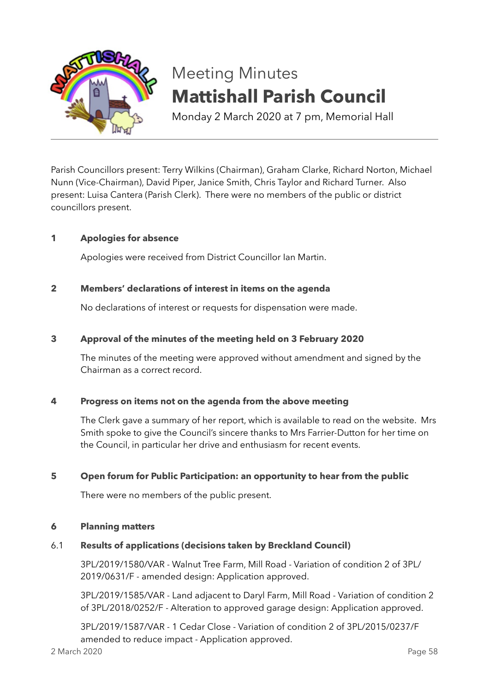

# Meeting Minutes **Mattishall Parish Council**

Monday 2 March 2020 at 7 pm, Memorial Hall

Parish Councillors present: Terry Wilkins (Chairman), Graham Clarke, Richard Norton, Michael Nunn (Vice-Chairman), David Piper, Janice Smith, Chris Taylor and Richard Turner. Also present: Luisa Cantera (Parish Clerk). There were no members of the public or district councillors present.

# **1 Apologies for absence**

Apologies were received from District Councillor Ian Martin.

# **2 Members' declarations of interest in items on the agenda**

No declarations of interest or requests for dispensation were made.

# **3 Approval of the minutes of the meeting held on 3 February 2020**

The minutes of the meeting were approved without amendment and signed by the Chairman as a correct record.

# **4 Progress on items not on the agenda from the above meeting**

The Clerk gave a summary of her report, which is available to read on the website. Mrs Smith spoke to give the Council's sincere thanks to Mrs Farrier-Dutton for her time on the Council, in particular her drive and enthusiasm for recent events.

# **5 Open forum for Public Participation: an opportunity to hear from the public**

There were no members of the public present.

## **6 Planning matters**

# 6.1 **Results of applications (decisions taken by Breckland Council)**

3PL/2019/1580/VAR - Walnut Tree Farm, Mill Road - Variation of condition 2 of 3PL/ 2019/0631/F - amended design: Application approved.

3PL/2019/1585/VAR - Land adjacent to Daryl Farm, Mill Road - Variation of condition 2 of 3PL/2018/0252/F - Alteration to approved garage design: Application approved.

3PL/2019/1587/VAR - 1 Cedar Close - Variation of condition 2 of 3PL/2015/0237/F amended to reduce impact - Application approved.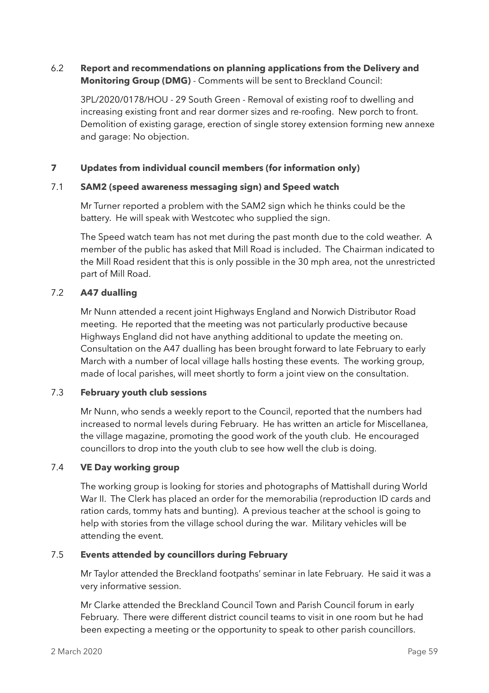# 6.2 **Report and recommendations on planning applications from the Delivery and Monitoring Group (DMG)** - Comments will be sent to Breckland Council:

3PL/2020/0178/HOU - 29 South Green - Removal of existing roof to dwelling and increasing existing front and rear dormer sizes and re-roofing. New porch to front. Demolition of existing garage, erection of single storey extension forming new annexe and garage: No objection.

# **7 Updates from individual council members (for information only)**

# 7.1 **SAM2 (speed awareness messaging sign) and Speed watch**

Mr Turner reported a problem with the SAM2 sign which he thinks could be the battery. He will speak with Westcotec who supplied the sign.

The Speed watch team has not met during the past month due to the cold weather. A member of the public has asked that Mill Road is included. The Chairman indicated to the Mill Road resident that this is only possible in the 30 mph area, not the unrestricted part of Mill Road.

# 7.2 **A47 dualling**

Mr Nunn attended a recent joint Highways England and Norwich Distributor Road meeting. He reported that the meeting was not particularly productive because Highways England did not have anything additional to update the meeting on. Consultation on the A47 dualling has been brought forward to late February to early March with a number of local village halls hosting these events. The working group, made of local parishes, will meet shortly to form a joint view on the consultation.

# 7.3 **February youth club sessions**

Mr Nunn, who sends a weekly report to the Council, reported that the numbers had increased to normal levels during February. He has written an article for Miscellanea, the village magazine, promoting the good work of the youth club. He encouraged councillors to drop into the youth club to see how well the club is doing.

# 7.4 **VE Day working group**

The working group is looking for stories and photographs of Mattishall during World War II. The Clerk has placed an order for the memorabilia (reproduction ID cards and ration cards, tommy hats and bunting). A previous teacher at the school is going to help with stories from the village school during the war. Military vehicles will be attending the event.

# 7.5 **Events attended by councillors during February**

Mr Taylor attended the Breckland footpaths' seminar in late February. He said it was a very informative session.

Mr Clarke attended the Breckland Council Town and Parish Council forum in early February. There were different district council teams to visit in one room but he had been expecting a meeting or the opportunity to speak to other parish councillors.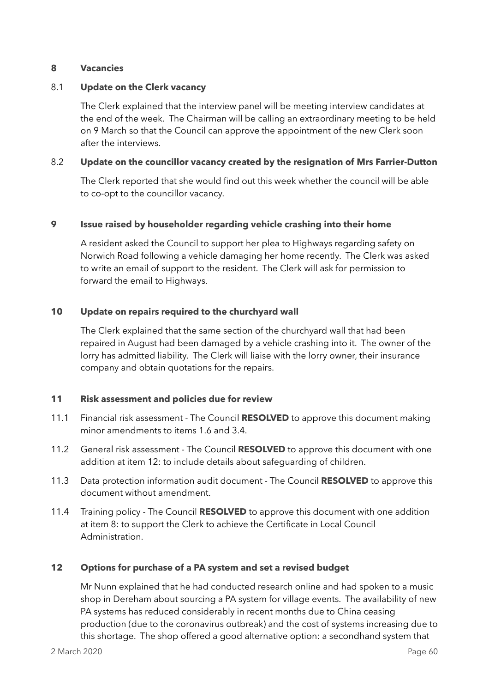## **8 Vacancies**

## 8.1 **Update on the Clerk vacancy**

The Clerk explained that the interview panel will be meeting interview candidates at the end of the week. The Chairman will be calling an extraordinary meeting to be held on 9 March so that the Council can approve the appointment of the new Clerk soon after the interviews.

## 8.2 **Update on the councillor vacancy created by the resignation of Mrs Farrier-Dutton**

The Clerk reported that she would find out this week whether the council will be able to co-opt to the councillor vacancy.

## **9 Issue raised by householder regarding vehicle crashing into their home**

A resident asked the Council to support her plea to Highways regarding safety on Norwich Road following a vehicle damaging her home recently. The Clerk was asked to write an email of support to the resident. The Clerk will ask for permission to forward the email to Highways.

## **10 Update on repairs required to the churchyard wall**

The Clerk explained that the same section of the churchyard wall that had been repaired in August had been damaged by a vehicle crashing into it. The owner of the lorry has admitted liability. The Clerk will liaise with the lorry owner, their insurance company and obtain quotations for the repairs.

# **11 Risk assessment and policies due for review**

- 11.1 Financial risk assessment The Council **RESOLVED** to approve this document making minor amendments to items 1.6 and 3.4.
- 11.2 General risk assessment The Council **RESOLVED** to approve this document with one addition at item 12: to include details about safeguarding of children.
- 11.3 Data protection information audit document The Council **RESOLVED** to approve this document without amendment.
- 11.4 Training policy The Council **RESOLVED** to approve this document with one addition at item 8: to support the Clerk to achieve the Certificate in Local Council Administration.

#### **12 Options for purchase of a PA system and set a revised budget**

Mr Nunn explained that he had conducted research online and had spoken to a music shop in Dereham about sourcing a PA system for village events. The availability of new PA systems has reduced considerably in recent months due to China ceasing production (due to the coronavirus outbreak) and the cost of systems increasing due to this shortage. The shop offered a good alternative option: a secondhand system that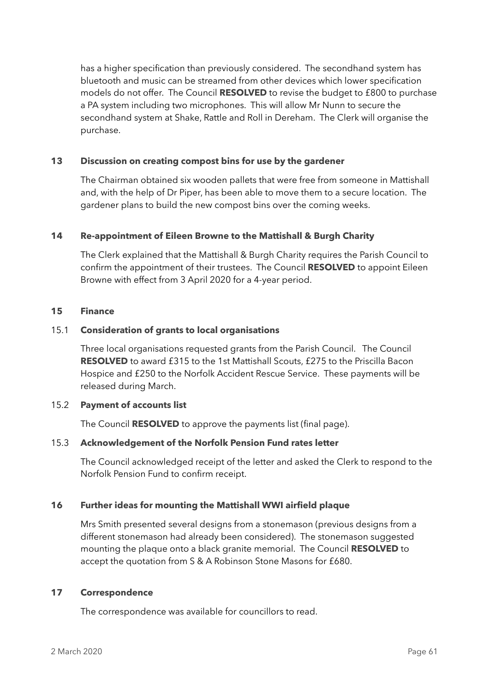has a higher specification than previously considered. The secondhand system has bluetooth and music can be streamed from other devices which lower specification models do not offer. The Council **RESOLVED** to revise the budget to £800 to purchase a PA system including two microphones. This will allow Mr Nunn to secure the secondhand system at Shake, Rattle and Roll in Dereham. The Clerk will organise the purchase.

# **13 Discussion on creating compost bins for use by the gardener**

The Chairman obtained six wooden pallets that were free from someone in Mattishall and, with the help of Dr Piper, has been able to move them to a secure location. The gardener plans to build the new compost bins over the coming weeks.

## **14 Re-appointment of Eileen Browne to the Mattishall & Burgh Charity**

The Clerk explained that the Mattishall & Burgh Charity requires the Parish Council to confirm the appointment of their trustees. The Council **RESOLVED** to appoint Eileen Browne with effect from 3 April 2020 for a 4-year period.

#### **15 Finance**

## 15.1 **Consideration of grants to local organisations**

Three local organisations requested grants from the Parish Council. The Council **RESOLVED** to award £315 to the 1st Mattishall Scouts, £275 to the Priscilla Bacon Hospice and £250 to the Norfolk Accident Rescue Service. These payments will be released during March.

#### 15.2 **Payment of accounts list**

The Council **RESOLVED** to approve the payments list (final page).

#### 15.3 **Acknowledgement of the Norfolk Pension Fund rates letter**

The Council acknowledged receipt of the letter and asked the Clerk to respond to the Norfolk Pension Fund to confirm receipt.

#### **16 Further ideas for mounting the Mattishall WWI airfield plaque**

Mrs Smith presented several designs from a stonemason (previous designs from a different stonemason had already been considered). The stonemason suggested mounting the plaque onto a black granite memorial. The Council **RESOLVED** to accept the quotation from S & A Robinson Stone Masons for £680.

#### **17 Correspondence**

The correspondence was available for councillors to read.